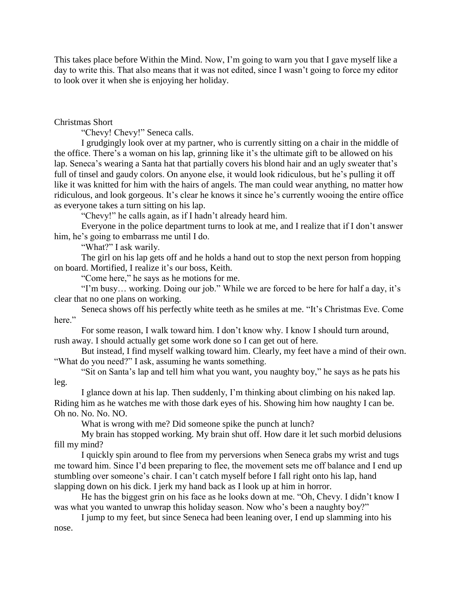This takes place before Within the Mind. Now, I'm going to warn you that I gave myself like a day to write this. That also means that it was not edited, since I wasn't going to force my editor to look over it when she is enjoying her holiday.

## Christmas Short

"Chevy! Chevy!" Seneca calls.

I grudgingly look over at my partner, who is currently sitting on a chair in the middle of the office. There's a woman on his lap, grinning like it's the ultimate gift to be allowed on his lap. Seneca's wearing a Santa hat that partially covers his blond hair and an ugly sweater that's full of tinsel and gaudy colors. On anyone else, it would look ridiculous, but he's pulling it off like it was knitted for him with the hairs of angels. The man could wear anything, no matter how ridiculous, and look gorgeous. It's clear he knows it since he's currently wooing the entire office as everyone takes a turn sitting on his lap.

"Chevy!" he calls again, as if I hadn't already heard him.

Everyone in the police department turns to look at me, and I realize that if I don't answer him, he's going to embarrass me until I do.

"What?" I ask warily.

The girl on his lap gets off and he holds a hand out to stop the next person from hopping on board. Mortified, I realize it's our boss, Keith.

"Come here," he says as he motions for me.

"I'm busy… working. Doing our job." While we are forced to be here for half a day, it's clear that no one plans on working.

Seneca shows off his perfectly white teeth as he smiles at me. "It's Christmas Eve. Come here."

For some reason, I walk toward him. I don't know why. I know I should turn around, rush away. I should actually get some work done so I can get out of here.

But instead, I find myself walking toward him. Clearly, my feet have a mind of their own. "What do you need?" I ask, assuming he wants something.

"Sit on Santa's lap and tell him what you want, you naughty boy," he says as he pats his leg.

I glance down at his lap. Then suddenly, I'm thinking about climbing on his naked lap. Riding him as he watches me with those dark eyes of his. Showing him how naughty I can be. Oh no. No. No. NO.

What is wrong with me? Did someone spike the punch at lunch?

My brain has stopped working. My brain shut off. How dare it let such morbid delusions fill my mind?

I quickly spin around to flee from my perversions when Seneca grabs my wrist and tugs me toward him. Since I'd been preparing to flee, the movement sets me off balance and I end up stumbling over someone's chair. I can't catch myself before I fall right onto his lap, hand slapping down on his dick. I jerk my hand back as I look up at him in horror.

He has the biggest grin on his face as he looks down at me. "Oh, Chevy. I didn't know I was what you wanted to unwrap this holiday season. Now who's been a naughty boy?"

I jump to my feet, but since Seneca had been leaning over, I end up slamming into his nose.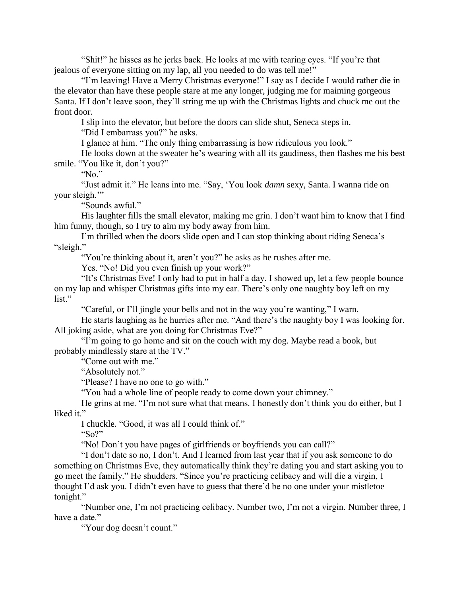"Shit!" he hisses as he jerks back. He looks at me with tearing eyes. "If you're that jealous of everyone sitting on my lap, all you needed to do was tell me!"

"I'm leaving! Have a Merry Christmas everyone!" I say as I decide I would rather die in the elevator than have these people stare at me any longer, judging me for maiming gorgeous Santa. If I don't leave soon, they'll string me up with the Christmas lights and chuck me out the front door.

I slip into the elevator, but before the doors can slide shut, Seneca steps in.

"Did I embarrass you?" he asks.

I glance at him. "The only thing embarrassing is how ridiculous you look."

He looks down at the sweater he's wearing with all its gaudiness, then flashes me his best smile. "You like it, don't you?"

"No."

"Just admit it." He leans into me. "Say, 'You look *damn* sexy, Santa. I wanna ride on your sleigh."

"Sounds awful."

His laughter fills the small elevator, making me grin. I don't want him to know that I find him funny, though, so I try to aim my body away from him.

I'm thrilled when the doors slide open and I can stop thinking about riding Seneca's "sleigh."

"You're thinking about it, aren't you?" he asks as he rushes after me.

Yes. "No! Did you even finish up your work?"

"It's Christmas Eve! I only had to put in half a day. I showed up, let a few people bounce on my lap and whisper Christmas gifts into my ear. There's only one naughty boy left on my list."

"Careful, or I'll jingle your bells and not in the way you're wanting," I warn.

He starts laughing as he hurries after me. "And there's the naughty boy I was looking for. All joking aside, what are you doing for Christmas Eve?"

"I'm going to go home and sit on the couch with my dog. Maybe read a book, but probably mindlessly stare at the TV."

"Come out with me."

"Absolutely not."

"Please? I have no one to go with."

"You had a whole line of people ready to come down your chimney."

He grins at me. "I'm not sure what that means. I honestly don't think you do either, but I liked it."

I chuckle. "Good, it was all I could think of."

"So?"

"No! Don't you have pages of girlfriends or boyfriends you can call?"

"I don't date so no, I don't. And I learned from last year that if you ask someone to do something on Christmas Eve, they automatically think they're dating you and start asking you to go meet the family." He shudders. "Since you're practicing celibacy and will die a virgin, I thought I'd ask you. I didn't even have to guess that there'd be no one under your mistletoe tonight."

"Number one, I'm not practicing celibacy. Number two, I'm not a virgin. Number three, I have a date."

"Your dog doesn't count."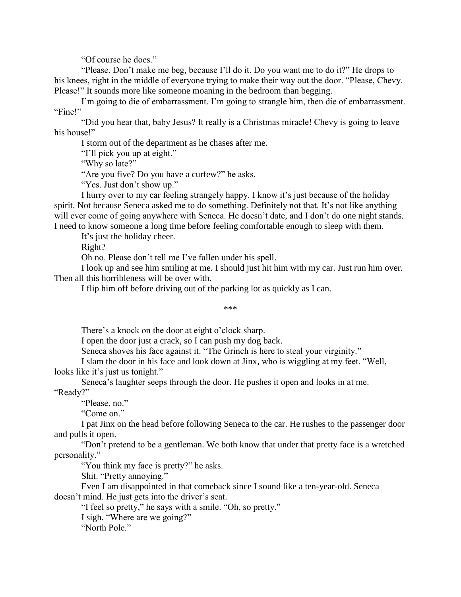"Of course he does."

"Please. Don't make me beg, because I'll do it. Do you want me to do it?" He drops to his knees, right in the middle of everyone trying to make their way out the door. "Please, Chevy. Please!" It sounds more like someone moaning in the bedroom than begging.

I'm going to die of embarrassment. I'm going to strangle him, then die of embarrassment. "Fine!"

"Did you hear that, baby Jesus? It really is a Christmas miracle! Chevy is going to leave his house!"

I storm out of the department as he chases after me.

"I'll pick you up at eight."

"Why so late?"

"Are you five? Do you have a curfew?" he asks.

"Yes. Just don't show up."

I hurry over to my car feeling strangely happy. I know it's just because of the holiday spirit. Not because Seneca asked me to do something. Definitely not that. It's not like anything will ever come of going anywhere with Seneca. He doesn't date, and I don't do one night stands. I need to know someone a long time before feeling comfortable enough to sleep with them.

It's just the holiday cheer.

Right?

Oh no. Please don't tell me I've fallen under his spell.

I look up and see him smiling at me. I should just hit him with my car. Just run him over. Then all this horribleness will be over with.

I flip him off before driving out of the parking lot as quickly as I can.

\*\*\*

There's a knock on the door at eight o'clock sharp.

I open the door just a crack, so I can push my dog back.

Seneca shoves his face against it. "The Grinch is here to steal your virginity."

I slam the door in his face and look down at Jinx, who is wiggling at my feet. "Well, looks like it's just us tonight."

Seneca's laughter seeps through the door. He pushes it open and looks in at me.

"Ready?"

"Please, no."

"Come on."

I pat Jinx on the head before following Seneca to the car. He rushes to the passenger door and pulls it open.

"Don't pretend to be a gentleman. We both know that under that pretty face is a wretched personality."

"You think my face is pretty?" he asks.

Shit. "Pretty annoying."

Even I am disappointed in that comeback since I sound like a ten-year-old. Seneca doesn't mind. He just gets into the driver's seat.

"I feel so pretty," he says with a smile. "Oh, so pretty."

I sigh. "Where are we going?"

"North Pole."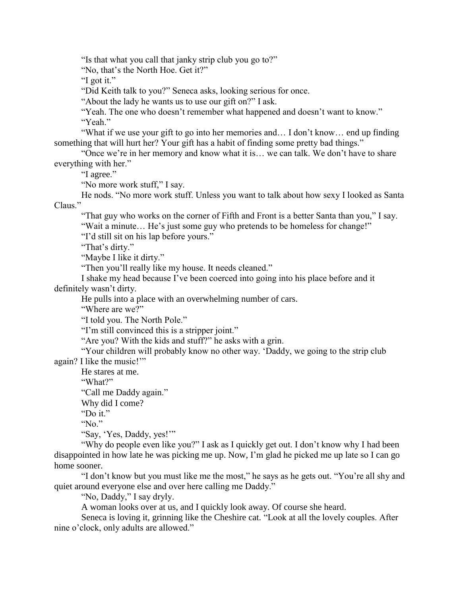"Is that what you call that janky strip club you go to?"

"No, that's the North Hoe. Get it?"

"I got it."

"Did Keith talk to you?" Seneca asks, looking serious for once.

"About the lady he wants us to use our gift on?" I ask.

"Yeah. The one who doesn't remember what happened and doesn't want to know." "Yeah."

"What if we use your gift to go into her memories and… I don't know… end up finding something that will hurt her? Your gift has a habit of finding some pretty bad things."

"Once we're in her memory and know what it is… we can talk. We don't have to share everything with her."

"I agree."

"No more work stuff," I say.

He nods. "No more work stuff. Unless you want to talk about how sexy I looked as Santa Claus."

"That guy who works on the corner of Fifth and Front is a better Santa than you," I say. "Wait a minute… He's just some guy who pretends to be homeless for change!"

"I'd still sit on his lap before yours."

"That's dirty."

"Maybe I like it dirty."

"Then you'll really like my house. It needs cleaned."

I shake my head because I've been coerced into going into his place before and it definitely wasn't dirty.

He pulls into a place with an overwhelming number of cars.

"Where are we?"

"I told you. The North Pole."

"I'm still convinced this is a stripper joint."

"Are you? With the kids and stuff?" he asks with a grin.

"Your children will probably know no other way. 'Daddy, we going to the strip club again? I like the music!'"

He stares at me.

"What?"

"Call me Daddy again."

Why did I come?

"Do it."

"No."

"Say, 'Yes, Daddy, yes!'"

"Why do people even like you?" I ask as I quickly get out. I don't know why I had been disappointed in how late he was picking me up. Now, I'm glad he picked me up late so I can go home sooner.

"I don't know but you must like me the most," he says as he gets out. "You're all shy and quiet around everyone else and over here calling me Daddy."

"No, Daddy," I say dryly.

A woman looks over at us, and I quickly look away. Of course she heard.

Seneca is loving it, grinning like the Cheshire cat. "Look at all the lovely couples. After nine o'clock, only adults are allowed."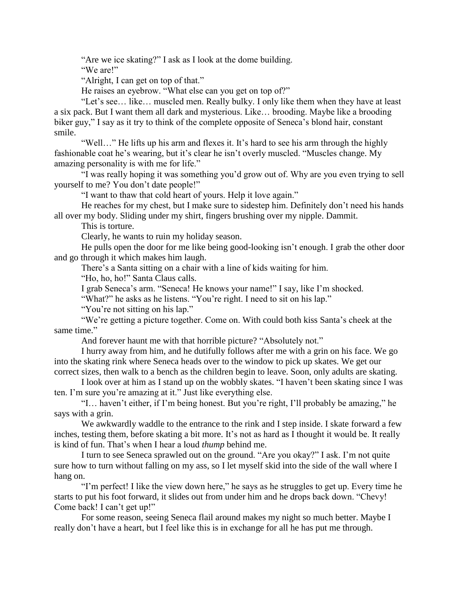"Are we ice skating?" I ask as I look at the dome building.

"We are!"

"Alright, I can get on top of that."

He raises an eyebrow. "What else can you get on top of?"

"Let's see… like… muscled men. Really bulky. I only like them when they have at least a six pack. But I want them all dark and mysterious. Like… brooding. Maybe like a brooding biker guy," I say as it try to think of the complete opposite of Seneca's blond hair, constant smile.

"Well…" He lifts up his arm and flexes it. It's hard to see his arm through the highly fashionable coat he's wearing, but it's clear he isn't overly muscled. "Muscles change. My amazing personality is with me for life."

"I was really hoping it was something you'd grow out of. Why are you even trying to sell yourself to me? You don't date people!"

"I want to thaw that cold heart of yours. Help it love again."

He reaches for my chest, but I make sure to sidestep him. Definitely don't need his hands all over my body. Sliding under my shirt, fingers brushing over my nipple. Dammit.

This is torture.

Clearly, he wants to ruin my holiday season.

He pulls open the door for me like being good-looking isn't enough. I grab the other door and go through it which makes him laugh.

There's a Santa sitting on a chair with a line of kids waiting for him.

"Ho, ho, ho!" Santa Claus calls.

I grab Seneca's arm. "Seneca! He knows your name!" I say, like I'm shocked.

"What?" he asks as he listens. "You're right. I need to sit on his lap."

"You're not sitting on his lap."

"We're getting a picture together. Come on. With could both kiss Santa's cheek at the same time."

And forever haunt me with that horrible picture? "Absolutely not."

I hurry away from him, and he dutifully follows after me with a grin on his face. We go into the skating rink where Seneca heads over to the window to pick up skates. We get our correct sizes, then walk to a bench as the children begin to leave. Soon, only adults are skating.

I look over at him as I stand up on the wobbly skates. "I haven't been skating since I was ten. I'm sure you're amazing at it." Just like everything else.

"I… haven't either, if I'm being honest. But you're right, I'll probably be amazing," he says with a grin.

We awkwardly waddle to the entrance to the rink and I step inside. I skate forward a few inches, testing them, before skating a bit more. It's not as hard as I thought it would be. It really is kind of fun. That's when I hear a loud *thump* behind me.

I turn to see Seneca sprawled out on the ground. "Are you okay?" I ask. I'm not quite sure how to turn without falling on my ass, so I let myself skid into the side of the wall where I hang on.

"I'm perfect! I like the view down here," he says as he struggles to get up. Every time he starts to put his foot forward, it slides out from under him and he drops back down. "Chevy! Come back! I can't get up!"

For some reason, seeing Seneca flail around makes my night so much better. Maybe I really don't have a heart, but I feel like this is in exchange for all he has put me through.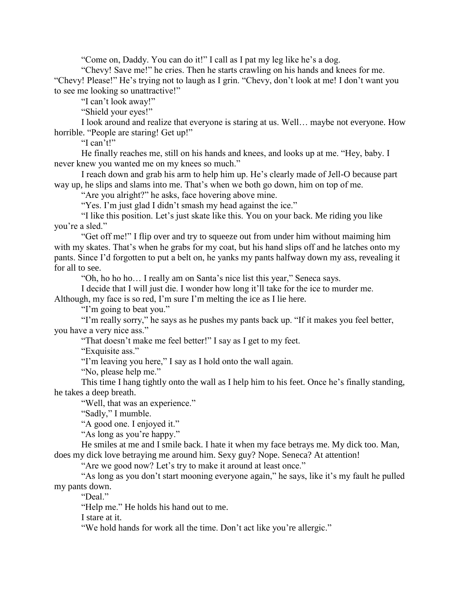"Come on, Daddy. You can do it!" I call as I pat my leg like he's a dog.

"Chevy! Save me!" he cries. Then he starts crawling on his hands and knees for me. "Chevy! Please!" He's trying not to laugh as I grin. "Chevy, don't look at me! I don't want you

to see me looking so unattractive!"

"I can't look away!"

"Shield your eyes!"

I look around and realize that everyone is staring at us. Well… maybe not everyone. How horrible. "People are staring! Get up!"

"I can't!"

He finally reaches me, still on his hands and knees, and looks up at me. "Hey, baby. I never knew you wanted me on my knees so much."

I reach down and grab his arm to help him up. He's clearly made of Jell-O because part way up, he slips and slams into me. That's when we both go down, him on top of me.

"Are you alright?" he asks, face hovering above mine.

"Yes. I'm just glad I didn't smash my head against the ice."

"I like this position. Let's just skate like this. You on your back. Me riding you like you're a sled."

"Get off me!" I flip over and try to squeeze out from under him without maiming him with my skates. That's when he grabs for my coat, but his hand slips off and he latches onto my pants. Since I'd forgotten to put a belt on, he yanks my pants halfway down my ass, revealing it for all to see.

"Oh, ho ho ho… I really am on Santa's nice list this year," Seneca says.

I decide that I will just die. I wonder how long it'll take for the ice to murder me. Although, my face is so red, I'm sure I'm melting the ice as I lie here.

"I'm going to beat you."

"I'm really sorry," he says as he pushes my pants back up. "If it makes you feel better, you have a very nice ass."

"That doesn't make me feel better!" I say as I get to my feet.

"Exquisite ass."

"I'm leaving you here," I say as I hold onto the wall again.

"No, please help me."

This time I hang tightly onto the wall as I help him to his feet. Once he's finally standing, he takes a deep breath.

"Well, that was an experience."

"Sadly," I mumble.

"A good one. I enjoyed it."

"As long as you're happy."

He smiles at me and I smile back. I hate it when my face betrays me. My dick too. Man, does my dick love betraying me around him. Sexy guy? Nope. Seneca? At attention!

"Are we good now? Let's try to make it around at least once."

"As long as you don't start mooning everyone again," he says, like it's my fault he pulled my pants down.

"Deal."

"Help me." He holds his hand out to me.

I stare at it.

"We hold hands for work all the time. Don't act like you're allergic."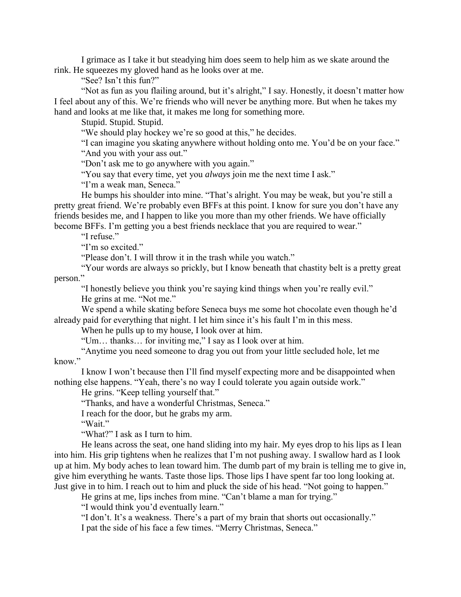I grimace as I take it but steadying him does seem to help him as we skate around the rink. He squeezes my gloved hand as he looks over at me.

"See? Isn't this fun?"

"Not as fun as you flailing around, but it's alright," I say. Honestly, it doesn't matter how I feel about any of this. We're friends who will never be anything more. But when he takes my hand and looks at me like that, it makes me long for something more.

Stupid. Stupid. Stupid.

"We should play hockey we're so good at this," he decides.

"I can imagine you skating anywhere without holding onto me. You'd be on your face."

"And you with your ass out."

"Don't ask me to go anywhere with you again."

"You say that every time, yet you *always* join me the next time I ask."

"I'm a weak man, Seneca."

He bumps his shoulder into mine. "That's alright. You may be weak, but you're still a pretty great friend. We're probably even BFFs at this point. I know for sure you don't have any friends besides me, and I happen to like you more than my other friends. We have officially become BFFs. I'm getting you a best friends necklace that you are required to wear."

"I refuse."

"I'm so excited."

"Please don't. I will throw it in the trash while you watch."

"Your words are always so prickly, but I know beneath that chastity belt is a pretty great person."

"I honestly believe you think you're saying kind things when you're really evil."

He grins at me. "Not me."

We spend a while skating before Seneca buys me some hot chocolate even though he'd already paid for everything that night. I let him since it's his fault I'm in this mess.

When he pulls up to my house, I look over at him.

"Um… thanks… for inviting me," I say as I look over at him.

"Anytime you need someone to drag you out from your little secluded hole, let me know."

I know I won't because then I'll find myself expecting more and be disappointed when nothing else happens. "Yeah, there's no way I could tolerate you again outside work."

He grins. "Keep telling yourself that."

"Thanks, and have a wonderful Christmas, Seneca."

I reach for the door, but he grabs my arm.

"Wait."

"What?" I ask as I turn to him.

He leans across the seat, one hand sliding into my hair. My eyes drop to his lips as I lean into him. His grip tightens when he realizes that I'm not pushing away. I swallow hard as I look up at him. My body aches to lean toward him. The dumb part of my brain is telling me to give in, give him everything he wants. Taste those lips. Those lips I have spent far too long looking at. Just give in to him. I reach out to him and pluck the side of his head. "Not going to happen."

He grins at me, lips inches from mine. "Can't blame a man for trying."

"I would think you'd eventually learn."

"I don't. It's a weakness. There's a part of my brain that shorts out occasionally." I pat the side of his face a few times. "Merry Christmas, Seneca."